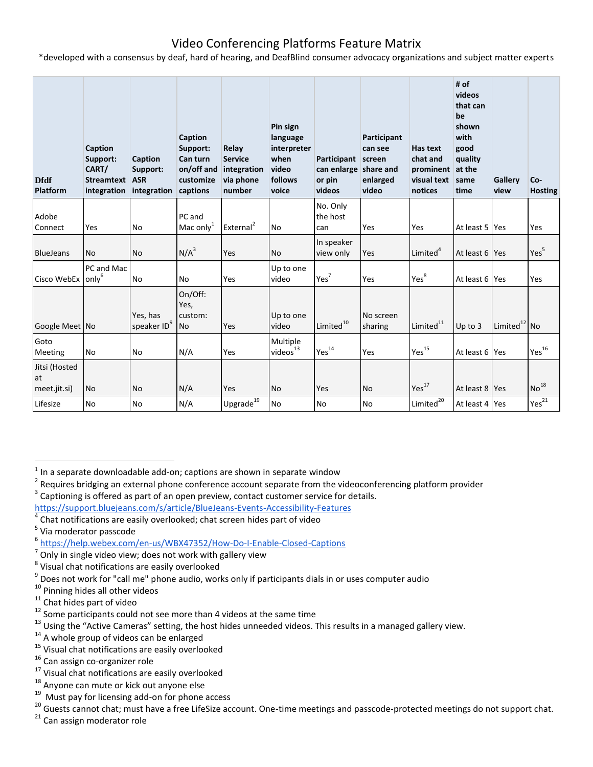## Video Conferencing Platforms Feature Matrix

\*developed with a consensus by deaf, hard of hearing, and DeafBlind consumer advocacy organizations and subject matter experts

| <b>Dfdf</b><br>Platform             | Caption<br>Support:<br>CART/<br><b>Streamtext</b><br>integration | Caption<br>Support:<br><b>ASR</b><br>integration | Caption<br>Support:<br>Can turn<br>on/off and<br>customize<br>captions | Relay<br><b>Service</b><br>integration<br>via phone<br>number | Pin sign<br>language<br>interpreter<br>when<br>video<br>follows<br>voice | Participant<br>can enlarge share and<br>or pin<br>videos | Participant<br>can see<br>screen<br>enlarged<br>video | Has text<br>chat and<br>prominent<br>visual text<br>notices | # of<br>videos<br>that can<br>be<br>shown<br>with<br>good<br>quality<br>at the<br>same<br>time | Gallery<br>view | Co-<br><b>Hosting</b> |
|-------------------------------------|------------------------------------------------------------------|--------------------------------------------------|------------------------------------------------------------------------|---------------------------------------------------------------|--------------------------------------------------------------------------|----------------------------------------------------------|-------------------------------------------------------|-------------------------------------------------------------|------------------------------------------------------------------------------------------------|-----------------|-----------------------|
| Adobe<br>Connect                    | Yes                                                              | No                                               | PC and<br>Mac only $1$                                                 | External <sup>2</sup>                                         | <b>No</b>                                                                | No. Only<br>the host<br>can                              | Yes                                                   | Yes                                                         | At least 5 Yes                                                                                 |                 | Yes                   |
| <b>BlueJeans</b>                    | <b>No</b>                                                        | <b>No</b>                                        | N/A <sup>3</sup>                                                       | Yes                                                           | <b>No</b>                                                                | In speaker<br>view only                                  | Yes                                                   | Limited <sup>4</sup>                                        | At least 6 Yes                                                                                 |                 | Yes <sup>5</sup>      |
| Cisco WebEx                         | PC and Mac<br>only <sup>6</sup>                                  | <b>No</b>                                        | <b>No</b>                                                              | Yes                                                           | Up to one<br>video                                                       | Yes <sup>7</sup>                                         | Yes                                                   | Yes <sup>8</sup>                                            | At least 6 Yes                                                                                 |                 | Yes                   |
| Google Meet No                      |                                                                  | Yes, has<br>speaker ID <sup>9</sup>              | On/Off:<br>Yes,<br>custom:<br><b>No</b>                                | Yes                                                           | Up to one<br>video                                                       | Limited <sup>10</sup>                                    | No screen<br>sharing                                  | Limited <sup>11</sup>                                       | $Up$ to $3$                                                                                    | Limited $12$ No |                       |
| Goto<br>Meeting                     | No                                                               | <b>No</b>                                        | N/A                                                                    | Yes                                                           | Multiple<br>videos <sup>13</sup>                                         | Yes <sup>14</sup>                                        | Yes                                                   | Yes <sup>15</sup>                                           | At least 6 Yes                                                                                 |                 | Yes <sup>16</sup>     |
| Jitsi (Hosted<br>at<br>meet.jit.si) | <b>No</b>                                                        | <b>No</b>                                        | N/A                                                                    | Yes                                                           | <b>No</b>                                                                | Yes                                                      | <b>No</b>                                             | Yes <sup>17</sup>                                           | At least 8 Yes                                                                                 |                 | No <sup>18</sup>      |
| Lifesize                            | No                                                               | <b>No</b>                                        | N/A                                                                    | Upgrade $^{19}$                                               | <b>No</b>                                                                | <b>No</b>                                                | No                                                    | Limited <sup>20</sup>                                       | At least 4 Yes                                                                                 |                 | Yes <sup>21</sup>     |

 $\overline{a}$ 

 $21$  Can assign moderator role

 $<sup>1</sup>$  In a separate downloadable add-on; captions are shown in separate window</sup>

<sup>2</sup> Requires bridging an external phone conference account separate from the videoconferencing platform provider 3 Captioning is offered as part of an open preview, contact customer service for details.

<https://support.bluejeans.com/s/article/BlueJeans-Events-Accessibility-Features> 4

Chat notifications are easily overlooked; chat screen hides part of video

<sup>&</sup>lt;sup>5</sup> Via moderator passcode

<sup>6</sup> <https://help.webex.com/en-us/WBX47352/How-Do-I-Enable-Closed-Captions>

 $^7$  Only in single video view; does not work with gallery view

<sup>&</sup>lt;sup>8</sup> Visual chat notifications are easily overlooked

 $^9$  Does not work for "call me" phone audio, works only if participants dials in or uses computer audio

<sup>&</sup>lt;sup>10</sup> Pinning hides all other videos

<sup>&</sup>lt;sup>11</sup> Chat hides part of video

 $12$  Some participants could not see more than 4 videos at the same time

<sup>&</sup>lt;sup>13</sup> Using the "Active Cameras" setting, the host hides unneeded videos. This results in a managed gallery view.

<sup>&</sup>lt;sup>14</sup> A whole group of videos can be enlarged

<sup>&</sup>lt;sup>15</sup> Visual chat notifications are easily overlooked

<sup>&</sup>lt;sup>16</sup> Can assign co-organizer role

<sup>&</sup>lt;sup>17</sup> Visual chat notifications are easily overlooked

<sup>&</sup>lt;sup>18</sup> Anyone can mute or kick out anyone else

<sup>&</sup>lt;sup>19</sup> Must pay for licensing add-on for phone access

<sup>&</sup>lt;sup>20</sup> Guests cannot chat; must have a free LifeSize account. One-time meetings and passcode-protected meetings do not support chat.